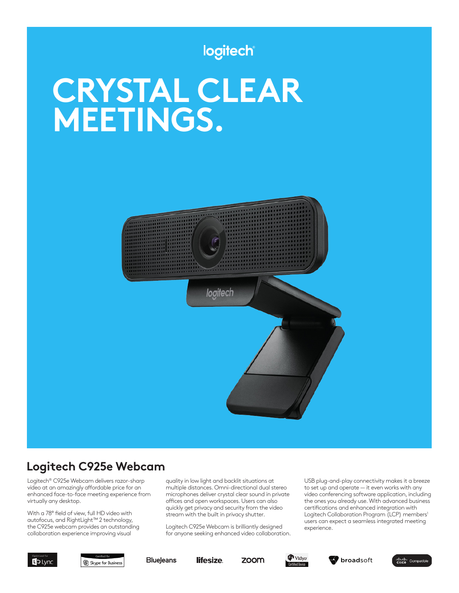## logitech

# **CRYSTAL CLEAR MEETINGS.**



## **Logitech C925e Webcam**

Logitech® C925e Webcam delivers razor-sharp video at an amazingly affordable price for an enhanced face-to-face meeting experience from virtually any desktop.

With a 78° field of view, full HD video with autofocus, and RightLight™ 2 technology, the C925e webcam provides an outstanding collaboration experience improving visual

quality in low light and backlit situations at multiple distances. Omni-directional dual stereo microphones deliver crystal clear sound in private offices and open workspaces. Users can also quickly get privacy and security from the video stream with the built in privacy shutter.

Logitech C925e Webcam is brilliantly designed for anyone seeking enhanced video collaboration. USB plug-and-play connectivity makes it a breeze to set up and operate — it even works with any video conferencing software application, including the ones you already use. With advanced business certifications and enhanced integration with Logitech Collaboration Program (LCP) members<sup>1</sup> users can expect a seamless integrated meeting experience.



S Skype for Business

**BlueJeans**